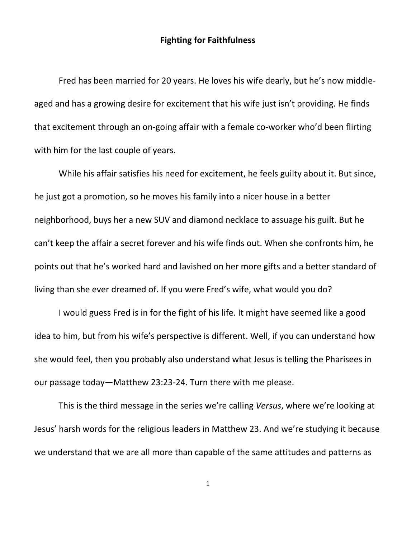## **Fighting for Faithfulness**

Fred has been married for 20 years. He loves his wife dearly, but he's now middleaged and has a growing desire for excitement that his wife just isn't providing. He finds that excitement through an on-going affair with a female co-worker who'd been flirting with him for the last couple of years.

While his affair satisfies his need for excitement, he feels guilty about it. But since, he just got a promotion, so he moves his family into a nicer house in a better neighborhood, buys her a new SUV and diamond necklace to assuage his guilt. But he can't keep the affair a secret forever and his wife finds out. When she confronts him, he points out that he's worked hard and lavished on her more gifts and a better standard of living than she ever dreamed of. If you were Fred's wife, what would you do?

I would guess Fred is in for the fight of his life. It might have seemed like a good idea to him, but from his wife's perspective is different. Well, if you can understand how she would feel, then you probably also understand what Jesus is telling the Pharisees in our passage today—Matthew 23:23-24. Turn there with me please.

This is the third message in the series we're calling *Versus*, where we're looking at Jesus' harsh words for the religious leaders in Matthew 23. And we're studying it because we understand that we are all more than capable of the same attitudes and patterns as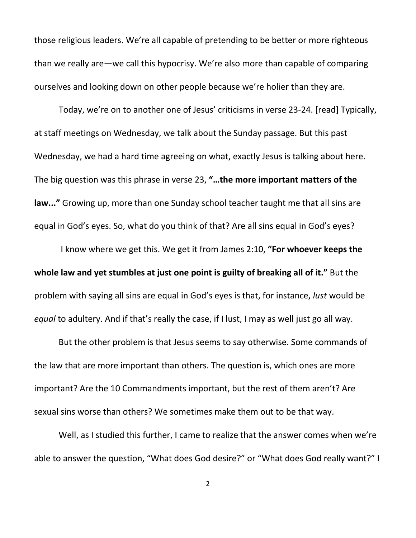those religious leaders. We're all capable of pretending to be better or more righteous than we really are—we call this hypocrisy. We're also more than capable of comparing ourselves and looking down on other people because we're holier than they are.

Today, we're on to another one of Jesus' criticisms in verse 23-24. [read] Typically, at staff meetings on Wednesday, we talk about the Sunday passage. But this past Wednesday, we had a hard time agreeing on what, exactly Jesus is talking about here. The big question was this phrase in verse 23, **"…the more important matters of the law..."** Growing up, more than one Sunday school teacher taught me that all sins are equal in God's eyes. So, what do you think of that? Are all sins equal in God's eyes?

I know where we get this. We get it from James 2:10, **"For whoever keeps the whole law and yet stumbles at just one point is guilty of breaking all of it."** But the problem with saying all sins are equal in God's eyes is that, for instance, *lust* would be *equal* to adultery. And if that's really the case, if I lust, I may as well just go all way.

But the other problem is that Jesus seems to say otherwise. Some commands of the law that are more important than others. The question is, which ones are more important? Are the 10 Commandments important, but the rest of them aren't? Are sexual sins worse than others? We sometimes make them out to be that way.

Well, as I studied this further, I came to realize that the answer comes when we're able to answer the question, "What does God desire?" or "What does God really want?" I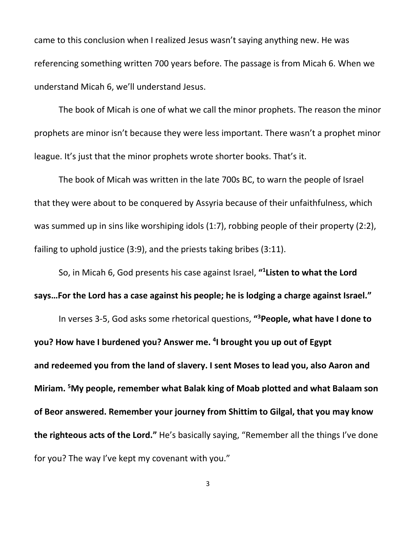came to this conclusion when I realized Jesus wasn't saying anything new. He was referencing something written 700 years before. The passage is from Micah 6. When we understand Micah 6, we'll understand Jesus.

The book of Micah is one of what we call the minor prophets. The reason the minor prophets are minor isn't because they were less important. There wasn't a prophet minor league. It's just that the minor prophets wrote shorter books. That's it.

The book of Micah was written in the late 700s BC, to warn the people of Israel that they were about to be conquered by Assyria because of their unfaithfulness, which was summed up in sins like worshiping idols (1:7), robbing people of their property (2:2), failing to uphold justice (3:9), and the priests taking bribes (3:11).

So, in Micah 6, God presents his case against Israel, **"1 Listen to what the Lord says…For the Lord has a case against his people; he is lodging a charge against Israel."**

In verses 3-5, God asks some rhetorical questions, **"3 People, what have I done to you? How have I burdened you? Answer me. 4 I brought you up out of Egypt and redeemed you from the land of slavery. I sent Moses to lead you, also Aaron and Miriam. <sup>5</sup> My people, remember what Balak king of Moab plotted and what Balaam son of Beor answered. Remember your journey from Shittim to Gilgal, that you may know the righteous acts of the Lord."** He's basically saying, "Remember all the things I've done for you? The way I've kept my covenant with you."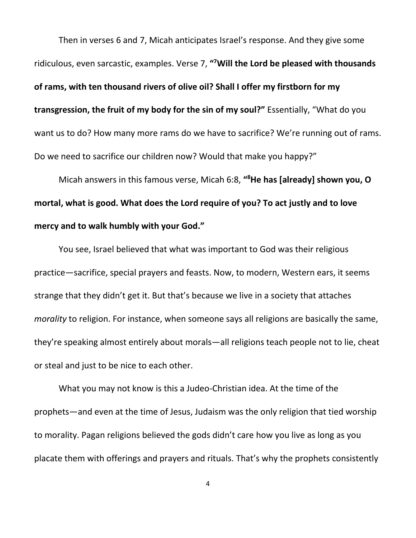Then in verses 6 and 7, Micah anticipates Israel's response. And they give some ridiculous, even sarcastic, examples. Verse 7, **"7 Will the Lord be pleased with thousands of rams, with ten thousand rivers of olive oil? Shall I offer my firstborn for my transgression, the fruit of my body for the sin of my soul?"** Essentially, "What do you want us to do? How many more rams do we have to sacrifice? We're running out of rams. Do we need to sacrifice our children now? Would that make you happy?"

Micah answers in this famous verse, Micah 6:8, **"8 He has [already] shown you, O mortal, what is good. What does the Lord require of you? To act justly and to love mercy and to walk humbly with your God."**

You see, Israel believed that what was important to God was their religious practice—sacrifice, special prayers and feasts. Now, to modern, Western ears, it seems strange that they didn't get it. But that's because we live in a society that attaches *morality* to religion. For instance, when someone says all religions are basically the same, they're speaking almost entirely about morals—all religions teach people not to lie, cheat or steal and just to be nice to each other.

What you may not know is this a Judeo-Christian idea. At the time of the prophets—and even at the time of Jesus, Judaism was the only religion that tied worship to morality. Pagan religions believed the gods didn't care how you live as long as you placate them with offerings and prayers and rituals. That's why the prophets consistently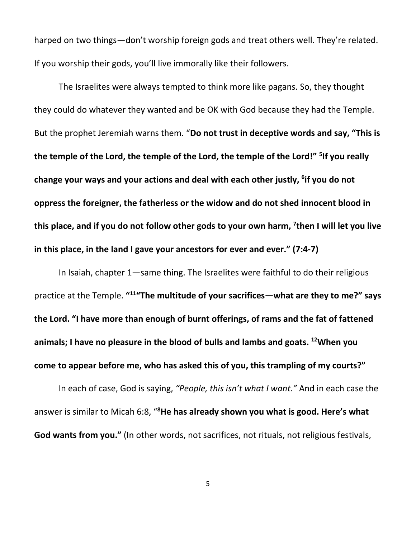harped on two things—don't worship foreign gods and treat others well. They're related. If you worship their gods, you'll live immorally like their followers.

The Israelites were always tempted to think more like pagans. So, they thought they could do whatever they wanted and be OK with God because they had the Temple. But the prophet Jeremiah warns them. "**Do not trust in deceptive words and say, "This is the temple of the Lord, the temple of the Lord, the temple of the Lord!" 5 If you really change your ways and your actions and deal with each other justly, 6 if you do not oppress the foreigner, the fatherless or the widow and do not shed innocent blood in this place, and if you do not follow other gods to your own harm, 7 then I will let you live in this place, in the land I gave your ancestors for ever and ever." (7:4-7)**

In Isaiah, chapter 1—same thing. The Israelites were faithful to do their religious practice at the Temple. **"11"The multitude of your sacrifices—what are they to me?" says the Lord. "I have more than enough of burnt offerings, of rams and the fat of fattened animals; I have no pleasure in the blood of bulls and lambs and goats. 12When you come to appear before me, who has asked this of you, this trampling of my courts?"**

In each of case, God is saying, *"People, this isn't what I want."* And in each case the answer is similar to Micah 6:8, "<sup>8</sup>He has already shown you what is good. Here's what **God wants from you."** (In other words, not sacrifices, not rituals, not religious festivals,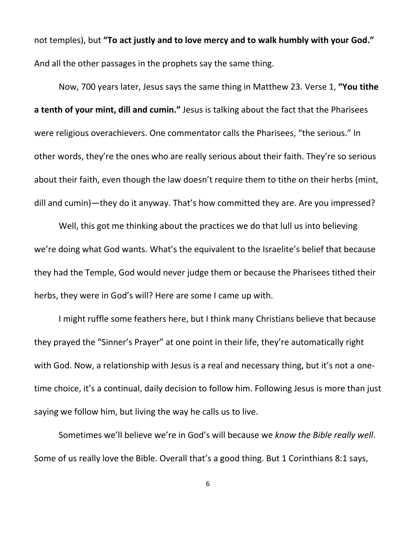not temples), but **"To act justly and to love mercy and to walk humbly with your God."** And all the other passages in the prophets say the same thing.

Now, 700 years later, Jesus says the same thing in Matthew 23. Verse 1, **"You tithe a tenth of your mint, dill and cumin."** Jesus is talking about the fact that the Pharisees were religious overachievers. One commentator calls the Pharisees, "the serious." In other words, they're the ones who are really serious about their faith. They're so serious about their faith, even though the law doesn't require them to tithe on their herbs (mint, dill and cumin)—they do it anyway. That's how committed they are. Are you impressed?

Well, this got me thinking about the practices we do that lull us into believing we're doing what God wants. What's the equivalent to the Israelite's belief that because they had the Temple, God would never judge them or because the Pharisees tithed their herbs, they were in God's will? Here are some I came up with.

I might ruffle some feathers here, but I think many Christians believe that because they prayed the "Sinner's Prayer" at one point in their life, they're automatically right with God. Now, a relationship with Jesus is a real and necessary thing, but it's not a onetime choice, it's a continual, daily decision to follow him. Following Jesus is more than just saying we follow him, but living the way he calls us to live.

Sometimes we'll believe we're in God's will because we *know the Bible really well*. Some of us really love the Bible. Overall that's a good thing. But 1 Corinthians 8:1 says,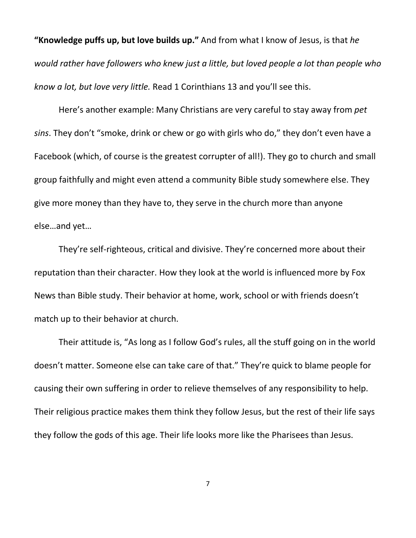**"Knowledge puffs up, but love builds up."** And from what I know of Jesus, is that *he would rather have followers who knew just a little, but loved people a lot than people who know a lot, but love very little.* Read 1 Corinthians 13 and you'll see this.

Here's another example: Many Christians are very careful to stay away from *pet sins*. They don't "smoke, drink or chew or go with girls who do," they don't even have a Facebook (which, of course is the greatest corrupter of all!). They go to church and small group faithfully and might even attend a community Bible study somewhere else. They give more money than they have to, they serve in the church more than anyone else…and yet…

They're self-righteous, critical and divisive. They're concerned more about their reputation than their character. How they look at the world is influenced more by Fox News than Bible study. Their behavior at home, work, school or with friends doesn't match up to their behavior at church.

Their attitude is, "As long as I follow God's rules, all the stuff going on in the world doesn't matter. Someone else can take care of that." They're quick to blame people for causing their own suffering in order to relieve themselves of any responsibility to help. Their religious practice makes them think they follow Jesus, but the rest of their life says they follow the gods of this age. Their life looks more like the Pharisees than Jesus.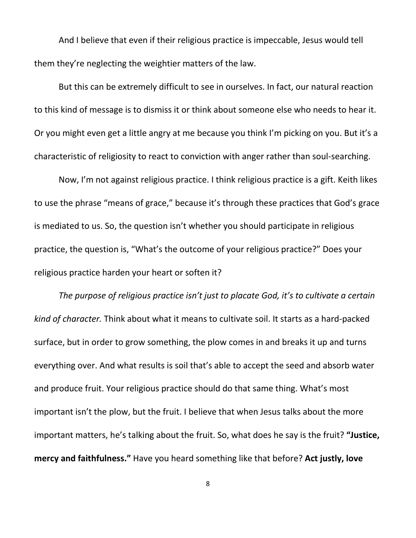And I believe that even if their religious practice is impeccable, Jesus would tell them they're neglecting the weightier matters of the law.

But this can be extremely difficult to see in ourselves. In fact, our natural reaction to this kind of message is to dismiss it or think about someone else who needs to hear it. Or you might even get a little angry at me because you think I'm picking on you. But it's a characteristic of religiosity to react to conviction with anger rather than soul-searching.

Now, I'm not against religious practice. I think religious practice is a gift. Keith likes to use the phrase "means of grace," because it's through these practices that God's grace is mediated to us. So, the question isn't whether you should participate in religious practice, the question is, "What's the outcome of your religious practice?" Does your religious practice harden your heart or soften it?

*The purpose of religious practice isn't just to placate God, it's to cultivate a certain kind of character.* Think about what it means to cultivate soil. It starts as a hard-packed surface, but in order to grow something, the plow comes in and breaks it up and turns everything over. And what results is soil that's able to accept the seed and absorb water and produce fruit. Your religious practice should do that same thing. What's most important isn't the plow, but the fruit. I believe that when Jesus talks about the more important matters, he's talking about the fruit. So, what does he say is the fruit? **"Justice, mercy and faithfulness."** Have you heard something like that before? **Act justly, love**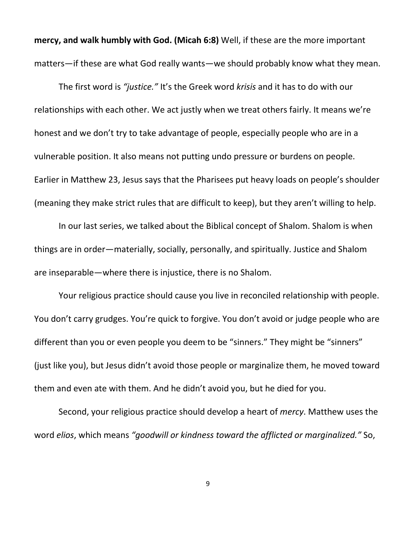**mercy, and walk humbly with God. (Micah 6:8)** Well, if these are the more important matters—if these are what God really wants—we should probably know what they mean.

The first word is *"justice."* It's the Greek word *krisis* and it has to do with our relationships with each other. We act justly when we treat others fairly. It means we're honest and we don't try to take advantage of people, especially people who are in a vulnerable position. It also means not putting undo pressure or burdens on people. Earlier in Matthew 23, Jesus says that the Pharisees put heavy loads on people's shoulder (meaning they make strict rules that are difficult to keep), but they aren't willing to help.

In our last series, we talked about the Biblical concept of Shalom. Shalom is when things are in order—materially, socially, personally, and spiritually. Justice and Shalom are inseparable—where there is injustice, there is no Shalom.

Your religious practice should cause you live in reconciled relationship with people. You don't carry grudges. You're quick to forgive. You don't avoid or judge people who are different than you or even people you deem to be "sinners." They might be "sinners" (just like you), but Jesus didn't avoid those people or marginalize them, he moved toward them and even ate with them. And he didn't avoid you, but he died for you.

Second, your religious practice should develop a heart of *mercy*. Matthew uses the word *elios*, which means *"goodwill or kindness toward the afflicted or marginalized."* So,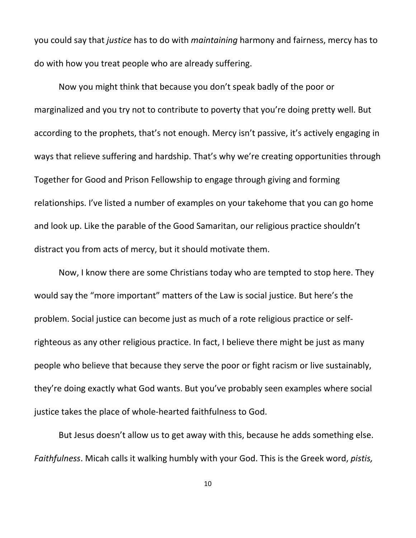you could say that *justice* has to do with *maintaining* harmony and fairness, mercy has to do with how you treat people who are already suffering.

Now you might think that because you don't speak badly of the poor or marginalized and you try not to contribute to poverty that you're doing pretty well. But according to the prophets, that's not enough. Mercy isn't passive, it's actively engaging in ways that relieve suffering and hardship. That's why we're creating opportunities through Together for Good and Prison Fellowship to engage through giving and forming relationships. I've listed a number of examples on your takehome that you can go home and look up. Like the parable of the Good Samaritan, our religious practice shouldn't distract you from acts of mercy, but it should motivate them.

Now, I know there are some Christians today who are tempted to stop here. They would say the "more important" matters of the Law is social justice. But here's the problem. Social justice can become just as much of a rote religious practice or selfrighteous as any other religious practice. In fact, I believe there might be just as many people who believe that because they serve the poor or fight racism or live sustainably, they're doing exactly what God wants. But you've probably seen examples where social justice takes the place of whole-hearted faithfulness to God.

But Jesus doesn't allow us to get away with this, because he adds something else. *Faithfulness*. Micah calls it walking humbly with your God. This is the Greek word, *pistis,*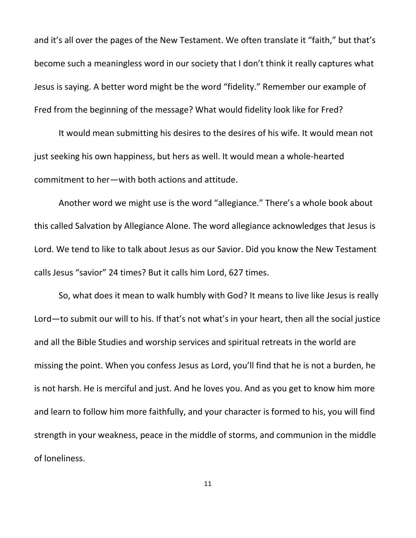and it's all over the pages of the New Testament. We often translate it "faith," but that's become such a meaningless word in our society that I don't think it really captures what Jesus is saying. A better word might be the word "fidelity." Remember our example of Fred from the beginning of the message? What would fidelity look like for Fred?

It would mean submitting his desires to the desires of his wife. It would mean not just seeking his own happiness, but hers as well. It would mean a whole-hearted commitment to her—with both actions and attitude.

Another word we might use is the word "allegiance." There's a whole book about this called Salvation by Allegiance Alone. The word allegiance acknowledges that Jesus is Lord. We tend to like to talk about Jesus as our Savior. Did you know the New Testament calls Jesus "savior" 24 times? But it calls him Lord, 627 times.

So, what does it mean to walk humbly with God? It means to live like Jesus is really Lord—to submit our will to his. If that's not what's in your heart, then all the social justice and all the Bible Studies and worship services and spiritual retreats in the world are missing the point. When you confess Jesus as Lord, you'll find that he is not a burden, he is not harsh. He is merciful and just. And he loves you. And as you get to know him more and learn to follow him more faithfully, and your character is formed to his, you will find strength in your weakness, peace in the middle of storms, and communion in the middle of loneliness.